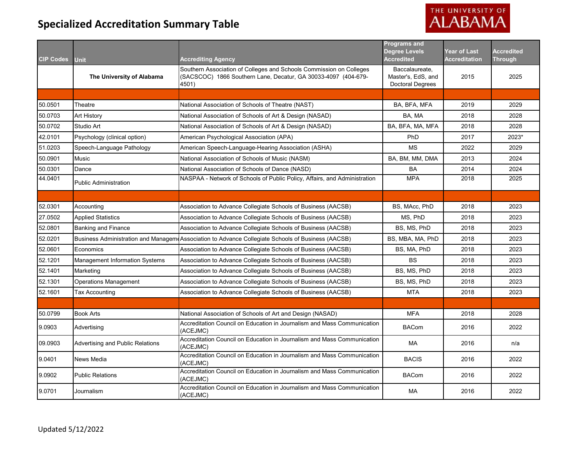# THE UNIVERSITY OF ALABAMA

| <b>CIP Codes</b> |                                          | <b>Accrediting Agency</b>                                                                                                                      | <b>Programs and</b><br><b>Degree Levels</b><br><b>Accredited</b> | <b>Year of Last</b><br><b>Accreditation</b> | <b>Accredited</b><br><b>Through</b> |
|------------------|------------------------------------------|------------------------------------------------------------------------------------------------------------------------------------------------|------------------------------------------------------------------|---------------------------------------------|-------------------------------------|
|                  | <b>Unit</b><br>The University of Alabama | Southern Association of Colleges and Schools Commission on Colleges<br>(SACSCOC) 1866 Southern Lane, Decatur, GA 30033-4097 (404-679-<br>4501) | Baccalaureate,<br>Master's, EdS, and<br><b>Doctoral Degrees</b>  | 2015                                        | 2025                                |
|                  |                                          |                                                                                                                                                |                                                                  |                                             |                                     |
| 50.0501          | Theatre                                  | National Association of Schools of Theatre (NAST)                                                                                              | BA, BFA, MFA                                                     | 2019                                        | 2029                                |
| 50.0703          | Art History                              | National Association of Schools of Art & Design (NASAD)                                                                                        | BA, MA                                                           | 2018                                        | 2028                                |
| 50.0702          | Studio Art                               | National Association of Schools of Art & Design (NASAD)                                                                                        | BA, BFA, MA, MFA                                                 | 2018                                        | 2028                                |
| 42.0101          | Psychology (clinical option)             | American Psychological Association (APA)                                                                                                       | PhD                                                              | 2017                                        | 2023*                               |
| 51.0203          | Speech-Language Pathology                | American Speech-Language-Hearing Association (ASHA)                                                                                            | <b>MS</b>                                                        | 2022                                        | 2029                                |
| 50.0901          | Music                                    | National Association of Schools of Music (NASM)                                                                                                | BA, BM, MM, DMA                                                  | 2013                                        | 2024                                |
| 50.0301          | Dance                                    | National Association of Schools of Dance (NASD)                                                                                                | <b>BA</b>                                                        | 2014                                        | 2024                                |
| 44.0401          | <b>Public Administration</b>             | NASPAA - Network of Schools of Public Policy, Affairs, and Administration                                                                      | <b>MPA</b>                                                       | 2018                                        | 2025                                |
|                  |                                          |                                                                                                                                                |                                                                  |                                             |                                     |
| 52.0301          | Accounting                               | Association to Advance Collegiate Schools of Business (AACSB)                                                                                  | BS, MAcc, PhD                                                    | 2018                                        | 2023                                |
| 27.0502          | <b>Applied Statistics</b>                | Association to Advance Collegiate Schools of Business (AACSB)                                                                                  | MS, PhD                                                          | 2018                                        | 2023                                |
| 52.0801          | <b>Banking and Finance</b>               | Association to Advance Collegiate Schools of Business (AACSB)                                                                                  | BS, MS, PhD                                                      | 2018                                        | 2023                                |
| 52.0201          |                                          | Business Administration and Managem Association to Advance Collegiate Schools of Business (AACSB)                                              | BS, MBA, MA, PhD                                                 | 2018                                        | 2023                                |
| 52.0601          | Economics                                | Association to Advance Collegiate Schools of Business (AACSB)                                                                                  | BS, MA, PhD                                                      | 2018                                        | 2023                                |
| 52.1201          | Management Information Systems           | Association to Advance Collegiate Schools of Business (AACSB)                                                                                  | <b>BS</b>                                                        | 2018                                        | 2023                                |
| 52.1401          | Marketing                                | Association to Advance Collegiate Schools of Business (AACSB)                                                                                  | BS, MS, PhD                                                      | 2018                                        | 2023                                |
| 52.1301          | <b>Operations Management</b>             | Association to Advance Collegiate Schools of Business (AACSB)                                                                                  | BS, MS, PhD                                                      | 2018                                        | 2023                                |
| 52.1601          | <b>Tax Accounting</b>                    | Association to Advance Collegiate Schools of Business (AACSB)                                                                                  | <b>MTA</b>                                                       | 2018                                        | 2023                                |
|                  |                                          |                                                                                                                                                |                                                                  |                                             |                                     |
| 50.0799          | <b>Book Arts</b>                         | National Association of Schools of Art and Design (NASAD)                                                                                      | <b>MFA</b>                                                       | 2018                                        | 2028                                |
| 9.0903           | Advertising                              | Accreditation Council on Education in Journalism and Mass Communication<br>(ACEJMC)                                                            | <b>BACom</b>                                                     | 2016                                        | 2022                                |
| 09.0903          | Advertising and Public Relations         | Accreditation Council on Education in Journalism and Mass Communication<br>(ACEJMC)                                                            | МA                                                               | 2016                                        | n/a                                 |
| 9.0401           | News Media                               | Accreditation Council on Education in Journalism and Mass Communication<br>(ACEJMC)                                                            | <b>BACIS</b>                                                     | 2016                                        | 2022                                |
| 9.0902           | <b>Public Relations</b>                  | Accreditation Council on Education in Journalism and Mass Communication<br>(ACEJMC)                                                            | <b>BACom</b>                                                     | 2016                                        | 2022                                |
| 9.0701           | Journalism                               | Accreditation Council on Education in Journalism and Mass Communication<br>(ACEJMC)                                                            | MA                                                               | 2016                                        | 2022                                |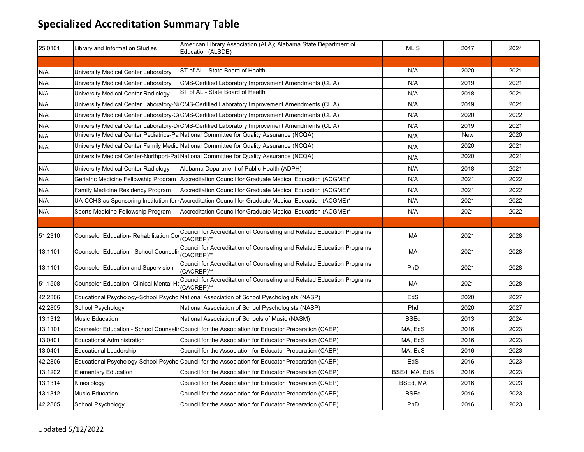| 25.0101 | Library and Information Studies               | American Library Association (ALA); Alabama State Department of<br>Education (ALSDE)                | <b>MLIS</b>   | 2017       | 2024 |
|---------|-----------------------------------------------|-----------------------------------------------------------------------------------------------------|---------------|------------|------|
|         |                                               |                                                                                                     |               |            |      |
| N/A     | University Medical Center Laboratory          | ST of AL - State Board of Health                                                                    | N/A           | 2020       | 2021 |
| N/A     | University Medical Center Laboratory          | CMS-Certified Laboratory Improvement Amendments (CLIA)                                              | N/A           | 2019       | 2021 |
| N/A     | University Medical Center Radiology           | ST of AL - State Board of Health                                                                    | N/A           | 2018       | 2021 |
| N/A     |                                               | University Medical Center Laboratory-NCMS-Certified Laboratory Improvement Amendments (CLIA)        | N/A           | 2019       | 2021 |
| N/A     |                                               | University Medical Center Laboratory-C.CMS-Certified Laboratory Improvement Amendments (CLIA)       | N/A           | 2020       | 2022 |
| N/A     |                                               | University Medical Center Laboratory-DICMS-Certified Laboratory Improvement Amendments (CLIA)       | N/A           | 2019       | 2021 |
| N/A     |                                               | University Medical Center Pediatrics-Pa National Committee for Quality Assurance (NCQA)             | N/A           | <b>New</b> | 2020 |
| N/A     |                                               | University Medical Center Family Medic National Committee for Quality Assurance (NCQA)              | N/A           | 2020       | 2021 |
|         |                                               | University Medical Center-Northport-Pat National Committee for Quality Assurance (NCQA)             | N/A           | 2020       | 2021 |
| N/A     | University Medical Center Radiology           | Alabama Department of Public Health (ADPH)                                                          | N/A           | 2018       | 2021 |
| N/A     | Geriatric Medicine Fellowship Program         | Accreditation Council for Graduate Medical Education (ACGME)*                                       | N/A           | 2021       | 2022 |
| N/A     | Family Medicine Residency Program             | Accreditation Council for Graduate Medical Education (ACGME)*                                       | N/A           | 2021       | 2022 |
| N/A     |                                               | UA-CCHS as Sponsoring Institution for Accreditation Council for Graduate Medical Education (ACGME)* | N/A           | 2021       | 2022 |
| N/A     | Sports Medicine Fellowship Program            | Accreditation Council for Graduate Medical Education (ACGME)*                                       | N/A           | 2021       | 2022 |
|         |                                               |                                                                                                     |               |            |      |
| 51.2310 | Counselor Education- Rehabilitation Co        | Council for Accreditation of Counseling and Related Education Programs<br>(CACREP)**                | MA            | 2021       | 2028 |
| 13.1101 | <b>Counselor Education - School Counselir</b> | Council for Accreditation of Counseling and Related Education Programs<br>(CACREP)**                | MA            | 2021       | 2028 |
| 13.1101 | <b>Counselor Education and Supervision</b>    | Council for Accreditation of Counseling and Related Education Programs<br>(CACREP)**                | PhD           | 2021       | 2028 |
| 51.1508 | Counselor Education- Clinical Mental H        | Council for Accreditation of Counseling and Related Education Programs<br>(CACREP)**                | МA            | 2021       | 2028 |
| 42.2806 |                                               | Educational Psychology-School Psycho National Association of School Pyschologists (NASP)            | EdS           | 2020       | 2027 |
| 42.2805 | School Psychology                             | National Association of School Pyschologists (NASP)                                                 | Phd           | 2020       | 2027 |
| 13.1312 | <b>Music Education</b>                        | National Association of Schools of Music (NASM)                                                     | <b>BSEd</b>   | 2013       | 2024 |
| 13.1101 |                                               | Counselor Education - School Counselin Council for the Association for Educator Preparation (CAEP)  | MA, EdS       | 2016       | 2023 |
| 13.0401 | <b>Educational Administration</b>             | Council for the Association for Educator Preparation (CAEP)                                         | MA, EdS       | 2016       | 2023 |
| 13.0401 | <b>Educational Leadership</b>                 | Council for the Association for Educator Preparation (CAEP)                                         | MA, EdS       | 2016       | 2023 |
| 42.2806 |                                               | Educational Psychology-School Psycho Council for the Association for Educator Preparation (CAEP)    | EdS           | 2016       | 2023 |
| 13.1202 | <b>Elementary Education</b>                   | Council for the Association for Educator Preparation (CAEP)                                         | BSEd, MA, EdS | 2016       | 2023 |
| 13.1314 | Kinesiology                                   | Council for the Association for Educator Preparation (CAEP)                                         | BSEd, MA      | 2016       | 2023 |
| 13.1312 | <b>Music Education</b>                        | Council for the Association for Educator Preparation (CAEP)                                         | <b>BSEd</b>   | 2016       | 2023 |
| 42.2805 | School Psychology                             | Council for the Association for Educator Preparation (CAEP)                                         | PhD           | 2016       | 2023 |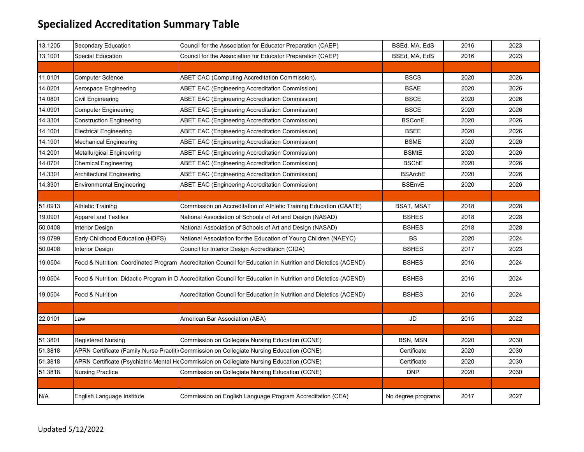| 13.1205 | Secondary Education              | Council for the Association for Educator Preparation (CAEP)                                                    | BSEd, MA, EdS      | 2016 | 2023 |
|---------|----------------------------------|----------------------------------------------------------------------------------------------------------------|--------------------|------|------|
| 13.1001 | <b>Special Education</b>         | Council for the Association for Educator Preparation (CAEP)                                                    | BSEd, MA, EdS      | 2016 | 2023 |
|         |                                  |                                                                                                                |                    |      |      |
| 11.0101 | <b>Computer Science</b>          | ABET CAC (Computing Accreditation Commission).                                                                 | <b>BSCS</b>        | 2020 | 2026 |
| 14.0201 | Aerospace Engineering            | <b>ABET EAC (Engineering Accreditation Commission)</b>                                                         | <b>BSAE</b>        | 2020 | 2026 |
| 14.0801 | Civil Engineering                | <b>ABET EAC (Engineering Accreditation Commission)</b>                                                         | <b>BSCE</b>        | 2020 | 2026 |
| 14.0901 | <b>Computer Engineering</b>      | <b>ABET EAC (Engineering Accreditation Commission)</b>                                                         | <b>BSCE</b>        | 2020 | 2026 |
| 14.3301 | <b>Construction Engineering</b>  | <b>ABET EAC (Engineering Accreditation Commission)</b>                                                         | <b>BSConE</b>      | 2020 | 2026 |
| 14.1001 | <b>Electrical Engineering</b>    | <b>ABET EAC (Engineering Accreditation Commission)</b>                                                         | <b>BSEE</b>        | 2020 | 2026 |
| 14.1901 | <b>Mechanical Engineering</b>    | <b>ABET EAC (Engineering Accreditation Commission)</b>                                                         | <b>BSME</b>        | 2020 | 2026 |
| 14.2001 | <b>Metallurgical Engineering</b> | <b>ABET EAC (Engineering Accreditation Commission)</b>                                                         | <b>BSMtE</b>       | 2020 | 2026 |
| 14.0701 | <b>Chemical Engineering</b>      | ABET EAC (Engineering Accreditation Commission)                                                                | <b>BSChE</b>       | 2020 | 2026 |
| 14.3301 | Architectural Engineering        | <b>ABET EAC (Engineering Accreditation Commission)</b>                                                         | <b>BSArchE</b>     | 2020 | 2026 |
| 14.3301 | <b>Environmental Engineering</b> | <b>ABET EAC (Engineering Accreditation Commission)</b>                                                         | <b>BSEnvE</b>      | 2020 | 2026 |
|         |                                  |                                                                                                                |                    |      |      |
| 51.0913 | <b>Athletic Training</b>         | Commission on Accreditation of Athletic Training Education (CAATE)                                             | BSAT, MSAT         | 2018 | 2028 |
| 19.0901 | <b>Apparel and Textiles</b>      | National Association of Schools of Art and Design (NASAD)                                                      | <b>BSHES</b>       | 2018 | 2028 |
| 50.0408 | <b>Interior Design</b>           | National Association of Schools of Art and Design (NASAD)                                                      | <b>BSHES</b>       | 2018 | 2028 |
| 19.0799 | Early Childhood Education (HDFS) | National Association for the Education of Young Children (NAEYC)                                               | <b>BS</b>          | 2020 | 2024 |
| 50.0408 | Interior Design                  | Council for Interior Design Accreditation (CIDA)                                                               | <b>BSHES</b>       | 2017 | 2023 |
| 19.0504 |                                  | Food & Nutrition: Coordinated Program Accreditation Council for Education in Nutrition and Dietetics (ACEND)   | <b>BSHES</b>       | 2016 | 2024 |
| 19.0504 |                                  | Food & Nutrition: Didactic Program in D Accreditation Council for Education in Nutrition and Dietetics (ACEND) | <b>BSHES</b>       | 2016 | 2024 |
| 19.0504 | Food & Nutrition                 | Accreditation Council for Education in Nutrition and Dietetics (ACEND)                                         | <b>BSHES</b>       | 2016 | 2024 |
|         |                                  |                                                                                                                |                    |      |      |
| 22.0101 | Law                              | American Bar Association (ABA)                                                                                 | JD                 | 2015 | 2022 |
|         |                                  |                                                                                                                |                    |      |      |
| 51.3801 | <b>Registered Nursing</b>        | Commission on Collegiate Nursing Education (CCNE)                                                              | BSN, MSN           | 2020 | 2030 |
| 51.3818 |                                  | APRN Certificate (Family Nurse Practitic Commission on Collegiate Nursing Education (CCNE)                     | Certificate        | 2020 | 2030 |
| 51.3818 |                                  | APRN Certificate (Psychiatric Mental HeCommission on Collegiate Nursing Education (CCNE)                       | Certificate        | 2020 | 2030 |
| 51.3818 | <b>Nursing Practice</b>          | Commission on Collegiate Nursing Education (CCNE)                                                              | <b>DNP</b>         | 2020 | 2030 |
|         |                                  |                                                                                                                |                    |      |      |
| N/A     | English Language Institute       | Commission on English Language Program Accreditation (CEA)                                                     | No degree programs | 2017 | 2027 |